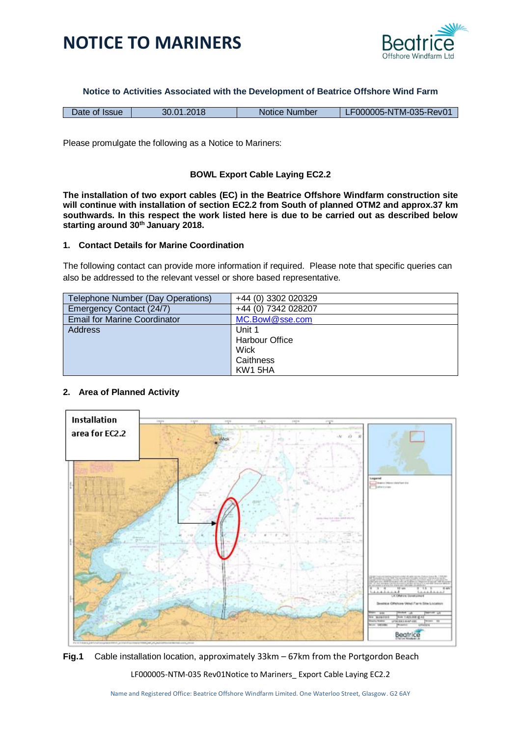



**Notice to Activities Associated with the Development of Beatrice Offshore Wind Farm**

| Date of Issue | 30.01.2018 | Notice Number | LF000005-NTM-035-Rev01 |
|---------------|------------|---------------|------------------------|
|               |            |               |                        |

Please promulgate the following as a Notice to Mariners:

## **BOWL Export Cable Laying EC2.2**

**The installation of two export cables (EC) in the Beatrice Offshore Windfarm construction site will continue with installation of section EC2.2 from South of planned OTM2 and approx.37 km southwards. In this respect the work listed here is due to be carried out as described below starting around 30th January 2018.**

#### **1. Contact Details for Marine Coordination**

The following contact can provide more information if required. Please note that specific queries can also be addressed to the relevant vessel or shore based representative.

| Telephone Number (Day Operations)   | +44 (0) 3302 020329   |
|-------------------------------------|-----------------------|
| Emergency Contact (24/7)            | +44 (0) 7342 028207   |
| <b>Email for Marine Coordinator</b> | MC.Bowl@sse.com       |
| <b>Address</b>                      | Unit 1                |
|                                     | <b>Harbour Office</b> |
|                                     | Wick                  |
|                                     | Caithness             |
|                                     | KW1 5HA               |

#### **2. Area of Planned Activity**



**Fig.1** Cable installation location, approximately 33km – 67km from the Portgordon Beach

LF000005-NTM-035 Rev01Notice to Mariners\_ Export Cable Laying EC2.2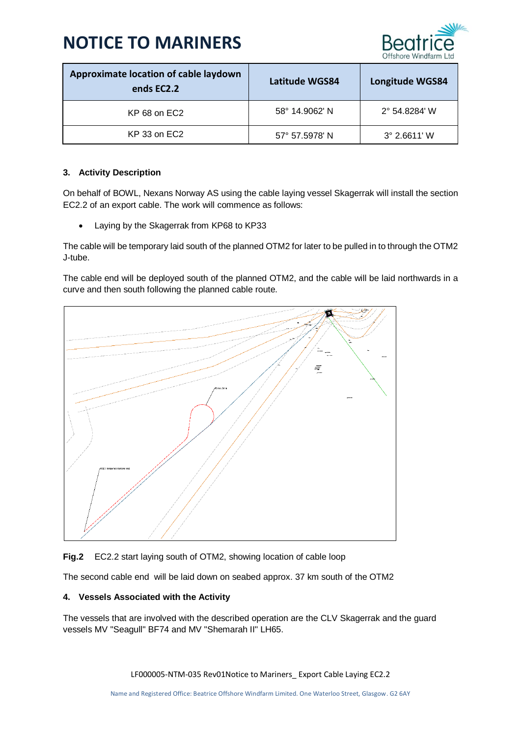

| Approximate location of cable laydown<br>ends EC2.2 | Latitude WGS84 | <b>Longitude WGS84</b> |
|-----------------------------------------------------|----------------|------------------------|
| KP 68 on EC2                                        | 58° 14.9062' N | 2° 54.8284' W          |
| KP 33 on EC2                                        | 57° 57.5978′ N | $3^{\circ}$ 2.6611' W  |

## **3. Activity Description**

On behalf of BOWL, Nexans Norway AS using the cable laying vessel Skagerrak will install the section EC2.2 of an export cable. The work will commence as follows:

• Laying by the Skagerrak from KP68 to KP33

The cable will be temporary laid south of the planned OTM2 for later to be pulled in to through the OTM2 J-tube.

The cable end will be deployed south of the planned OTM2, and the cable will be laid northwards in a curve and then south following the planned cable route.



**Fig.2** EC2.2 start laying south of OTM2, showing location of cable loop

The second cable end will be laid down on seabed approx. 37 km south of the OTM2

#### **4. Vessels Associated with the Activity**

The vessels that are involved with the described operation are the CLV Skagerrak and the guard vessels MV "Seagull" BF74 and MV "Shemarah II" LH65.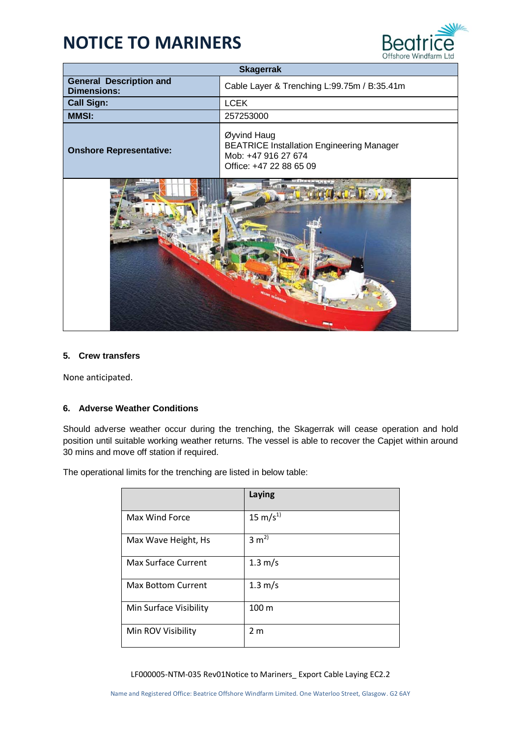

| <b>Skagerrak</b>                                     |                                                                                                                   |  |
|------------------------------------------------------|-------------------------------------------------------------------------------------------------------------------|--|
| <b>General Description and</b><br><b>Dimensions:</b> | Cable Layer & Trenching L:99.75m / B:35.41m                                                                       |  |
| <b>Call Sign:</b>                                    | <b>LCEK</b>                                                                                                       |  |
| <b>MMSI:</b>                                         | 257253000                                                                                                         |  |
| <b>Onshore Representative:</b>                       | Øyvind Haug<br><b>BEATRICE Installation Engineering Manager</b><br>Mob: +47 916 27 674<br>Office: +47 22 88 65 09 |  |
|                                                      |                                                                                                                   |  |

#### **5. Crew transfers**

None anticipated.

#### **6. Adverse Weather Conditions**

Should adverse weather occur during the trenching, the Skagerrak will cease operation and hold position until suitable working weather returns. The vessel is able to recover the Capjet within around 30 mins and move off station if required.

The operational limits for the trenching are listed in below table:

|                           | Laying               |
|---------------------------|----------------------|
| Max Wind Force            | $15 \text{ m/s}^{1}$ |
| Max Wave Height, Hs       | $3 \text{ m}^2$      |
| Max Surface Current       | $1.3 \text{ m/s}$    |
| <b>Max Bottom Current</b> | $1.3 \text{ m/s}$    |
| Min Surface Visibility    | 100 <sub>m</sub>     |
| Min ROV Visibility        | 2 <sub>m</sub>       |

LF000005-NTM-035 Rev01Notice to Mariners\_ Export Cable Laying EC2.2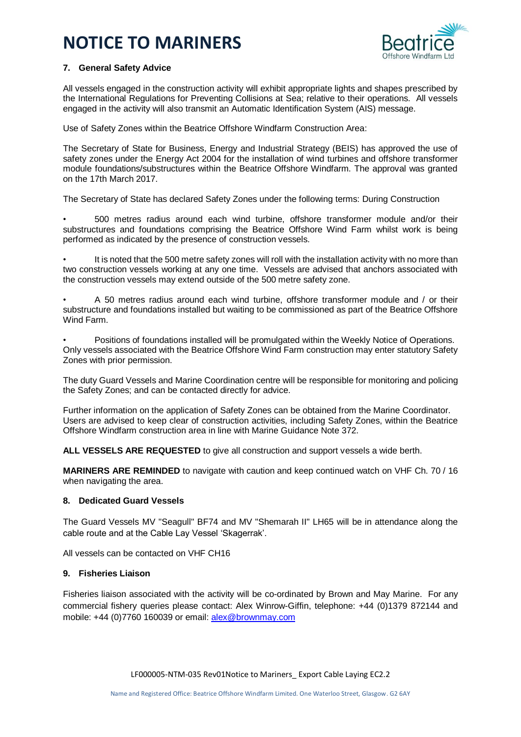

## **7. General Safety Advice**

All vessels engaged in the construction activity will exhibit appropriate lights and shapes prescribed by the International Regulations for Preventing Collisions at Sea; relative to their operations. All vessels engaged in the activity will also transmit an Automatic Identification System (AIS) message.

Use of Safety Zones within the Beatrice Offshore Windfarm Construction Area:

The Secretary of State for Business, Energy and Industrial Strategy (BEIS) has approved the use of safety zones under the Energy Act 2004 for the installation of wind turbines and offshore transformer module foundations/substructures within the Beatrice Offshore Windfarm. The approval was granted on the 17th March 2017.

The Secretary of State has declared Safety Zones under the following terms: During Construction

• 500 metres radius around each wind turbine, offshore transformer module and/or their substructures and foundations comprising the Beatrice Offshore Wind Farm whilst work is being performed as indicated by the presence of construction vessels.

It is noted that the 500 metre safety zones will roll with the installation activity with no more than two construction vessels working at any one time. Vessels are advised that anchors associated with the construction vessels may extend outside of the 500 metre safety zone.

• A 50 metres radius around each wind turbine, offshore transformer module and / or their substructure and foundations installed but waiting to be commissioned as part of the Beatrice Offshore Wind Farm.

• Positions of foundations installed will be promulgated within the Weekly Notice of Operations. Only vessels associated with the Beatrice Offshore Wind Farm construction may enter statutory Safety Zones with prior permission.

The duty Guard Vessels and Marine Coordination centre will be responsible for monitoring and policing the Safety Zones; and can be contacted directly for advice.

Further information on the application of Safety Zones can be obtained from the Marine Coordinator. Users are advised to keep clear of construction activities, including Safety Zones, within the Beatrice Offshore Windfarm construction area in line with Marine Guidance Note 372.

**ALL VESSELS ARE REQUESTED** to give all construction and support vessels a wide berth.

**MARINERS ARE REMINDED** to navigate with caution and keep continued watch on VHF Ch. 70 / 16 when navigating the area.

#### **8. Dedicated Guard Vessels**

The Guard Vessels MV "Seagull" BF74 and MV "Shemarah II" LH65 will be in attendance along the cable route and at the Cable Lay Vessel 'Skagerrak'.

All vessels can be contacted on VHF CH16

## **9. Fisheries Liaison**

Fisheries liaison associated with the activity will be co-ordinated by Brown and May Marine. For any commercial fishery queries please contact: Alex Winrow-Giffin, telephone: +44 (0)1379 872144 and mobile: +44 (0)7760 160039 or email: [alex@brownmay.com](mailto:alex@brownmay.com)